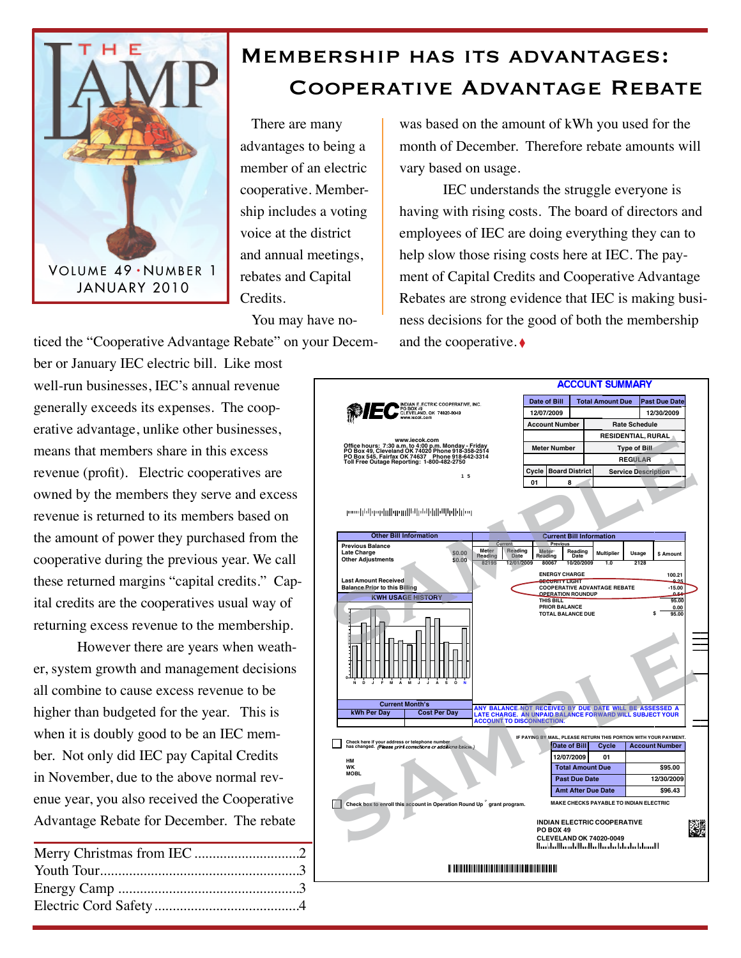

## Membership has its advantages: Cooperative Advantage Rebate

There are many advantages to being a member of an electric cooperative. Membership includes a voting voice at the district and annual meetings, rebates and Capital Credits.

You may have no-

ticed the "Cooperative Advantage Rebate" on your Decem-

ber or January IEC electric bill. Like most well-run businesses, IEC's annual revenue generally exceeds its expenses. The cooperative advantage, unlike other businesses, means that members share in this excess revenue (profit). Electric cooperatives are owned by the members they serve and excess revenue is returned to its members based on the amount of power they purchased from the cooperative during the previous year. We call these returned margins "capital credits." Capital credits are the cooperatives usual way of returning excess revenue to the membership.

However there are years when weather, system growth and management decisions all combine to cause excess revenue to be higher than budgeted for the year. This is when it is doubly good to be an IEC member. Not only did IEC pay Capital Credits in November, due to the above normal revenue year, you also received the Cooperative Advantage Rebate for December. The rebate

was based on the amount of kWh you used for the month of December. Therefore rebate amounts will vary based on usage.

IEC understands the struggle everyone is having with rising costs. The board of directors and employees of IEC are doing everything they can to help slow those rising costs here at IEC. The payment of Capital Credits and Cooperative Advantage Rebates are strong evidence that IEC is making business decisions for the good of both the membership and the cooperative. ♦

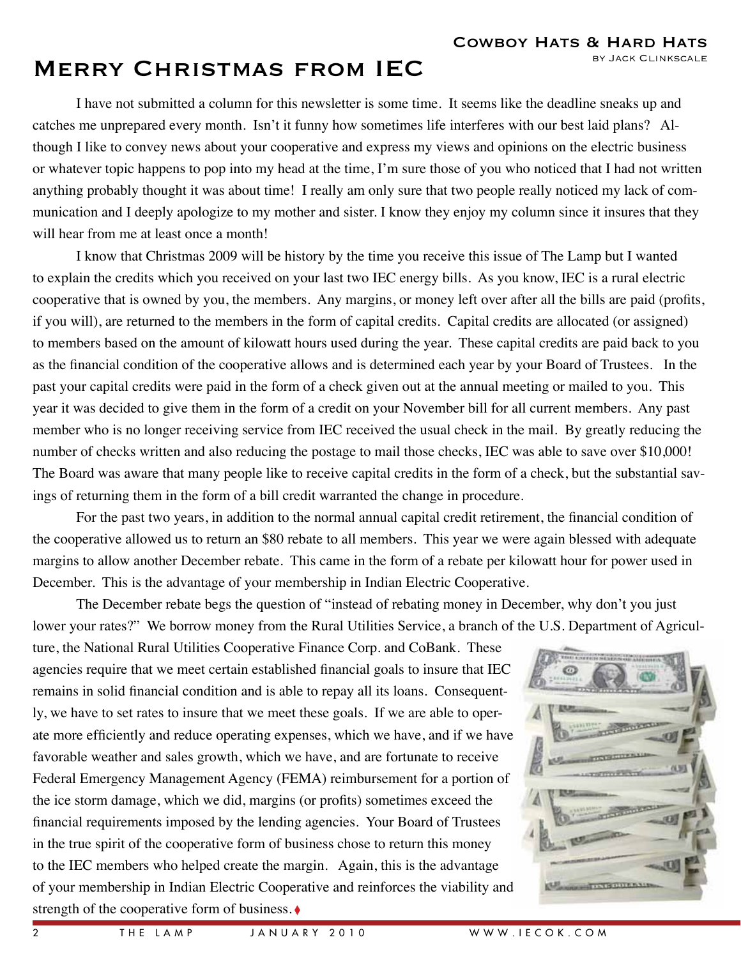COWBOY HATS & HARD HATS

# MERRY CHRISTMAS FROM IEC BY JACK CLINKSCALE

I have not submitted a column for this newsletter is some time. It seems like the deadline sneaks up and catches me unprepared every month. Isn't it funny how sometimes life interferes with our best laid plans? Although I like to convey news about your cooperative and express my views and opinions on the electric business or whatever topic happens to pop into my head at the time, I'm sure those of you who noticed that I had not written anything probably thought it was about time! I really am only sure that two people really noticed my lack of communication and I deeply apologize to my mother and sister. I know they enjoy my column since it insures that they will hear from me at least once a month!

I know that Christmas 2009 will be history by the time you receive this issue of The Lamp but I wanted to explain the credits which you received on your last two IEC energy bills. As you know, IEC is a rural electric cooperative that is owned by you, the members. Any margins, or money left over after all the bills are paid (profits, if you will), are returned to the members in the form of capital credits. Capital credits are allocated (or assigned) to members based on the amount of kilowatt hours used during the year. These capital credits are paid back to you as the financial condition of the cooperative allows and is determined each year by your Board of Trustees. In the past your capital credits were paid in the form of a check given out at the annual meeting or mailed to you. This year it was decided to give them in the form of a credit on your November bill for all current members. Any past member who is no longer receiving service from IEC received the usual check in the mail. By greatly reducing the number of checks written and also reducing the postage to mail those checks, IEC was able to save over \$10,000! The Board was aware that many people like to receive capital credits in the form of a check, but the substantial savings of returning them in the form of a bill credit warranted the change in procedure.

For the past two years, in addition to the normal annual capital credit retirement, the financial condition of the cooperative allowed us to return an \$80 rebate to all members. This year we were again blessed with adequate margins to allow another December rebate. This came in the form of a rebate per kilowatt hour for power used in December. This is the advantage of your membership in Indian Electric Cooperative.

The December rebate begs the question of "instead of rebating money in December, why don't you just lower your rates?" We borrow money from the Rural Utilities Service, a branch of the U.S. Department of Agricul-

ture, the National Rural Utilities Cooperative Finance Corp. and CoBank. These agencies require that we meet certain established financial goals to insure that IEC remains in solid financial condition and is able to repay all its loans. Consequently, we have to set rates to insure that we meet these goals. If we are able to operate more efficiently and reduce operating expenses, which we have, and if we have favorable weather and sales growth, which we have, and are fortunate to receive Federal Emergency Management Agency (FEMA) reimbursement for a portion of the ice storm damage, which we did, margins (or profits) sometimes exceed the financial requirements imposed by the lending agencies. Your Board of Trustees in the true spirit of the cooperative form of business chose to return this money to the IEC members who helped create the margin. Again, this is the advantage of your membership in Indian Electric Cooperative and reinforces the viability and strength of the cooperative form of business. ◊

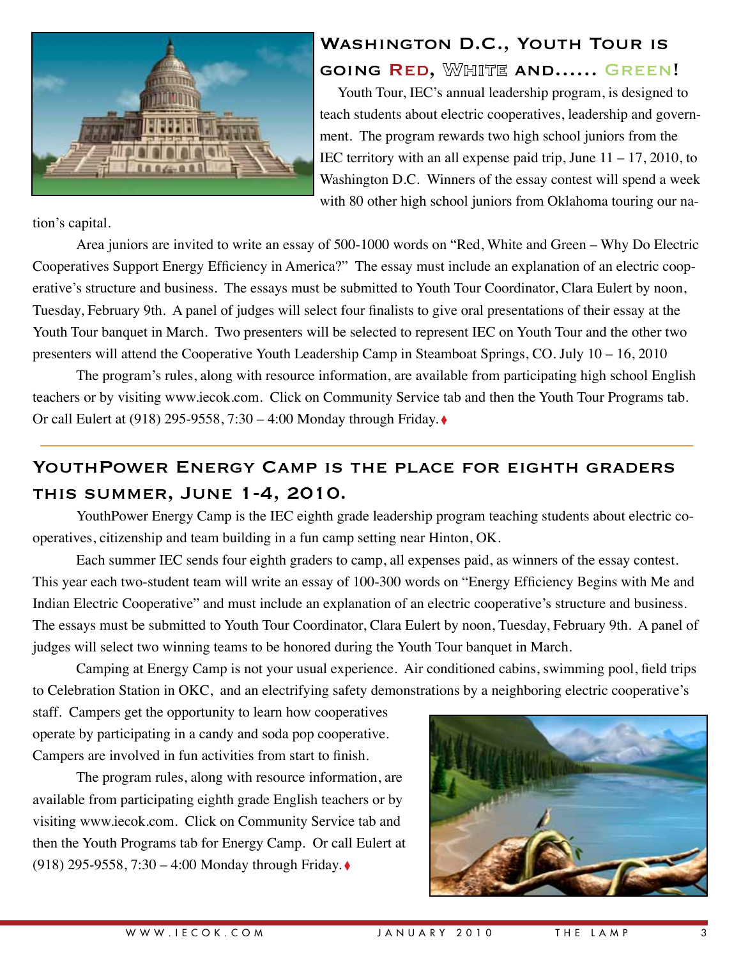

### Washington D.C., Youth Tour is going Red, White and…… Green!

Youth Tour, IEC's annual leadership program, is designed to teach students about electric cooperatives, leadership and government. The program rewards two high school juniors from the IEC territory with an all expense paid trip, June  $11 - 17$ , 2010, to Washington D.C. Winners of the essay contest will spend a week with 80 other high school juniors from Oklahoma touring our na-

tion's capital.

Area juniors are invited to write an essay of 500-1000 words on "Red, White and Green – Why Do Electric Cooperatives Support Energy Efficiency in America?" The essay must include an explanation of an electric cooperative's structure and business. The essays must be submitted to Youth Tour Coordinator, Clara Eulert by noon, Tuesday, February 9th. A panel of judges will select four finalists to give oral presentations of their essay at the Youth Tour banquet in March. Two presenters will be selected to represent IEC on Youth Tour and the other two presenters will attend the Cooperative Youth Leadership Camp in Steamboat Springs, CO. July 10 – 16, 2010

The program's rules, along with resource information, are available from participating high school English teachers or by visiting www.iecok.com. Click on Community Service tab and then the Youth Tour Programs tab. Or call Eulert at (918) 295-9558, 7:30 – 4:00 Monday through Friday. ◊

### YOUTH POWER ENERGY CAMP IS THE PLACE FOR EIGHTH GRADERS this summer, June 1-4, 2010.

YouthPower Energy Camp is the IEC eighth grade leadership program teaching students about electric cooperatives, citizenship and team building in a fun camp setting near Hinton, OK.

Each summer IEC sends four eighth graders to camp, all expenses paid, as winners of the essay contest. This year each two-student team will write an essay of 100-300 words on "Energy Efficiency Begins with Me and Indian Electric Cooperative" and must include an explanation of an electric cooperative's structure and business. The essays must be submitted to Youth Tour Coordinator, Clara Eulert by noon, Tuesday, February 9th. A panel of judges will select two winning teams to be honored during the Youth Tour banquet in March.

Camping at Energy Camp is not your usual experience. Air conditioned cabins, swimming pool, field trips to Celebration Station in OKC, and an electrifying safety demonstrations by a neighboring electric cooperative's

staff. Campers get the opportunity to learn how cooperatives operate by participating in a candy and soda pop cooperative. Campers are involved in fun activities from start to finish.

The program rules, along with resource information, are available from participating eighth grade English teachers or by visiting www.iecok.com. Click on Community Service tab and then the Youth Programs tab for Energy Camp. Or call Eulert at (918) 295-9558, 7:30 – 4:00 Monday through Friday. ◊